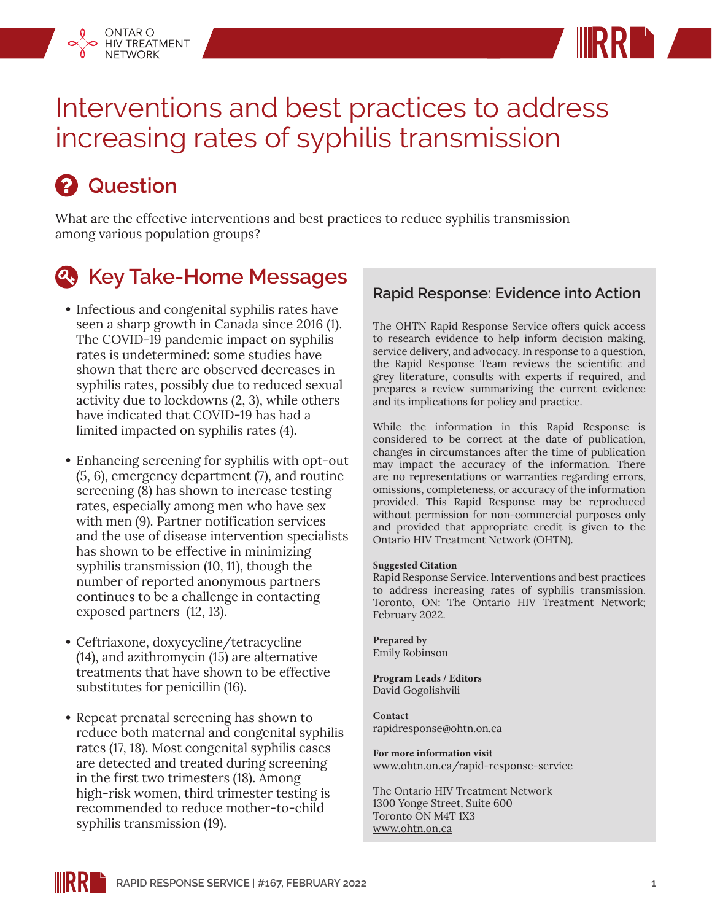



# Interventions and best practices to address increasing rates of syphilis transmission

# *A* Question

What are the effective interventions and best practices to reduce syphilis transmission among various population groups?

## *<b>A.* Key Take-Home Messages

- **•** Infectious and congenital syphilis rates have seen a sharp growth in Canada since 2016 (1). The COVID-19 pandemic impact on syphilis rates is undetermined: some studies have shown that there are observed decreases in syphilis rates, possibly due to reduced sexual activity due to lockdowns (2, 3), while others have indicated that COVID-19 has had a limited impacted on syphilis rates (4).
- **•** Enhancing screening for syphilis with opt-out (5, 6), emergency department (7), and routine screening (8) has shown to increase testing rates, especially among men who have sex with men (9). Partner notification services and the use of disease intervention specialists has shown to be effective in minimizing syphilis transmission (10, 11), though the number of reported anonymous partners continues to be a challenge in contacting exposed partners (12, 13).
- **•** Ceftriaxone, doxycycline/tetracycline (14), and azithromycin (15) are alternative treatments that have shown to be effective substitutes for penicillin (16).
- **•** Repeat prenatal screening has shown to reduce both maternal and congenital syphilis rates (17, 18). Most congenital syphilis cases are detected and treated during screening in the first two trimesters (18). Among high-risk women, third trimester testing is recommended to reduce mother-to-child syphilis transmission (19).

### **Rapid Response: Evidence into Action**

The OHTN Rapid Response Service offers quick access to research evidence to help inform decision making, service delivery, and advocacy. In response to a question, the Rapid Response Team reviews the scientific and grey literature, consults with experts if required, and prepares a review summarizing the current evidence and its implications for policy and practice.

While the information in this Rapid Response is considered to be correct at the date of publication, changes in circumstances after the time of publication may impact the accuracy of the information. There are no representations or warranties regarding errors, omissions, completeness, or accuracy of the information provided. This Rapid Response may be reproduced without permission for non-commercial purposes only and provided that appropriate credit is given to the Ontario HIV Treatment Network (OHTN).

#### **Suggested Citation**

Rapid Response Service. Interventions and best practices to address increasing rates of syphilis transmission. Toronto, ON: The Ontario HIV Treatment Network; February 2022.

**Prepared by** Emily Robinson

**Program Leads / Editors** David Gogolishvili

**Contact** rapidresponse@ohtn.on.ca

**For more information visit** [www.ohtn.on.ca/rapid-response-service](http://www.ohtn.on.ca/rapid-response-service)

The Ontario HIV Treatment Network 1300 Yonge Street, Suite 600 Toronto ON M4T 1X3 www.ohtn.on.ca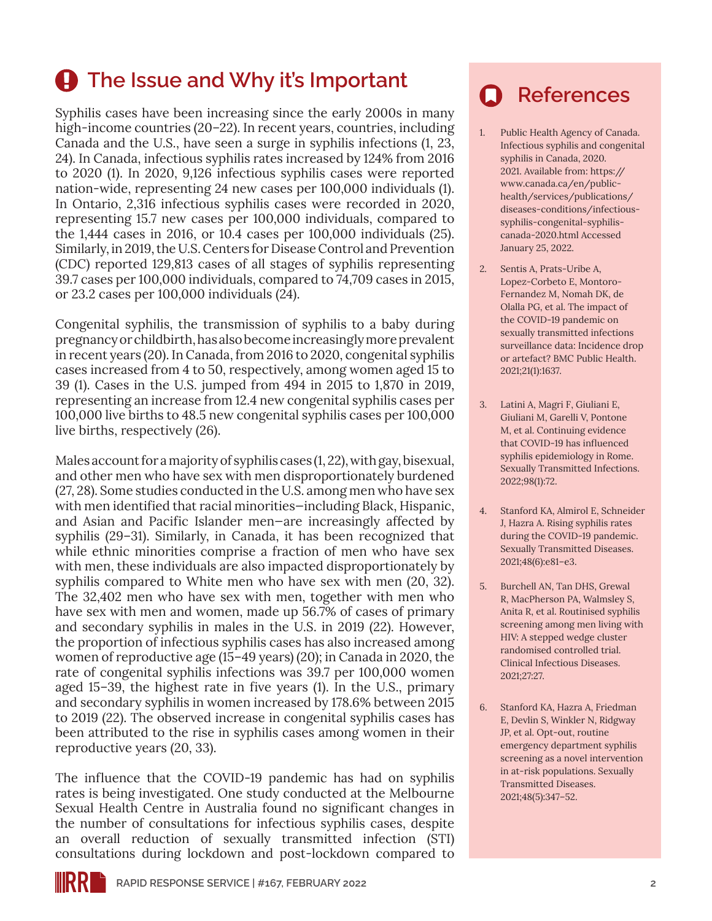## **4** The Issue and Why it's Important

Syphilis cases have been increasing since the early 2000s in many high-income countries (20–22). In recent years, countries, including Canada and the U.S., have seen a surge in syphilis infections (1, 23, 24). In Canada, infectious syphilis rates increased by 124% from 2016 to 2020 (1). In 2020, 9,126 infectious syphilis cases were reported nation-wide, representing 24 new cases per 100,000 individuals (1). In Ontario, 2,316 infectious syphilis cases were recorded in 2020, representing 15.7 new cases per 100,000 individuals, compared to the 1,444 cases in 2016, or 10.4 cases per 100,000 individuals (25). Similarly, in 2019, the U.S. Centers for Disease Control and Prevention (CDC) reported 129,813 cases of all stages of syphilis representing 39.7 cases per 100,000 individuals, compared to 74,709 cases in 2015, or 23.2 cases per 100,000 individuals (24).

Congenital syphilis, the transmission of syphilis to a baby during pregnancy or childbirth, has also become increasingly more prevalent in recent years (20). In Canada, from 2016 to 2020, congenital syphilis cases increased from 4 to 50, respectively, among women aged 15 to 39 (1). Cases in the U.S. jumped from 494 in 2015 to 1,870 in 2019, representing an increase from 12.4 new congenital syphilis cases per 100,000 live births to 48.5 new congenital syphilis cases per 100,000 live births, respectively (26).

Males account for a majority of syphilis cases (1, 22), with gay, bisexual, and other men who have sex with men disproportionately burdened (27, 28). Some studies conducted in the U.S. among men who have sex with men identified that racial minorities—including Black, Hispanic, and Asian and Pacific Islander men—are increasingly affected by syphilis (29–31). Similarly, in Canada, it has been recognized that while ethnic minorities comprise a fraction of men who have sex with men, these individuals are also impacted disproportionately by syphilis compared to White men who have sex with men (20, 32). The 32,402 men who have sex with men, together with men who have sex with men and women, made up 56.7% of cases of primary and secondary syphilis in males in the U.S. in 2019 (22). However, the proportion of infectious syphilis cases has also increased among women of reproductive age (15–49 years) (20); in Canada in 2020, the rate of congenital syphilis infections was 39.7 per 100,000 women aged 15–39, the highest rate in five years (1). In the U.S., primary and secondary syphilis in women increased by 178.6% between 2015 to 2019 (22). The observed increase in congenital syphilis cases has been attributed to the rise in syphilis cases among women in their reproductive years (20, 33).

The influence that the COVID-19 pandemic has had on syphilis rates is being investigated. One study conducted at the Melbourne Sexual Health Centre in Australia found no significant changes in the number of consultations for infectious syphilis cases, despite an overall reduction of sexually transmitted infection (STI) consultations during lockdown and post-lockdown compared to

### **References**

- 1. Public Health Agency of Canada. Infectious syphilis and congenital syphilis in Canada, 2020. 2021. Available from: [https://](https://www.canada.ca/en/public-health/services/publications/diseases-conditions/infectious-syphilis-congenital-syphilis-canada-2020.html) [www.canada.ca/en/public](https://www.canada.ca/en/public-health/services/publications/diseases-conditions/infectious-syphilis-congenital-syphilis-canada-2020.html)[health/services/publications/](https://www.canada.ca/en/public-health/services/publications/diseases-conditions/infectious-syphilis-congenital-syphilis-canada-2020.html) [diseases-conditions/infectious](https://www.canada.ca/en/public-health/services/publications/diseases-conditions/infectious-syphilis-congenital-syphilis-canada-2020.html)[syphilis-congenital-syphilis](https://www.canada.ca/en/public-health/services/publications/diseases-conditions/infectious-syphilis-congenital-syphilis-canada-2020.html)[canada-2020.html](https://www.canada.ca/en/public-health/services/publications/diseases-conditions/infectious-syphilis-congenital-syphilis-canada-2020.html) Accessed January 25, 2022.
- 2. Sentis A, Prats-Uribe A, Lopez-Corbeto E, Montoro-Fernandez M, Nomah DK, de Olalla PG, et al. The impact of the COVID-19 pandemic on sexually transmitted infections surveillance data: Incidence drop or artefact? BMC Public Health. 2021;21(1):1637.
- 3. Latini A, Magri F, Giuliani E, Giuliani M, Garelli V, Pontone M, et al. Continuing evidence that COVID-19 has influenced syphilis epidemiology in Rome. Sexually Transmitted Infections. 2022;98(1):72.
- 4. Stanford KA, Almirol E, Schneider J, Hazra A. Rising syphilis rates during the COVID-19 pandemic. Sexually Transmitted Diseases. 2021;48(6):e81–e3.
- 5. Burchell AN, Tan DHS, Grewal R, MacPherson PA, Walmsley S, Anita R, et al. Routinised syphilis screening among men living with HIV: A stepped wedge cluster randomised controlled trial. Clinical Infectious Diseases. 2021;27:27.
- 6. Stanford KA, Hazra A, Friedman E, Devlin S, Winkler N, Ridgway JP, et al. Opt-out, routine emergency department syphilis screening as a novel intervention in at-risk populations. Sexually Transmitted Diseases. 2021;48(5):347–52.

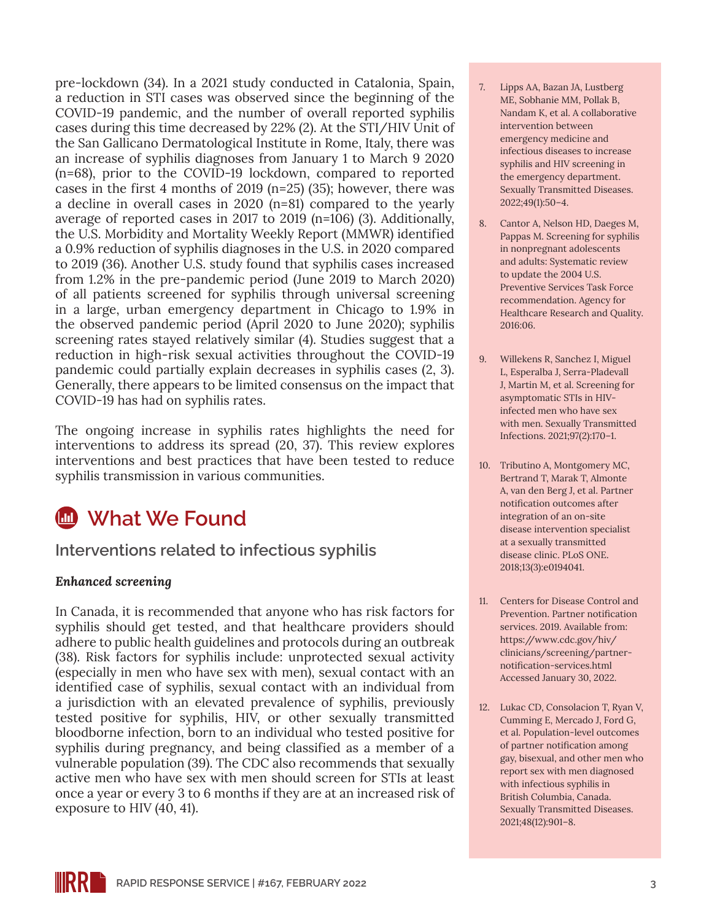pre-lockdown (34). In a 2021 study conducted in Catalonia, Spain, a reduction in STI cases was observed since the beginning of the COVID-19 pandemic, and the number of overall reported syphilis cases during this time decreased by 22% (2). At the STI/HIV Unit of the San Gallicano Dermatological Institute in Rome, Italy, there was an increase of syphilis diagnoses from January 1 to March 9 2020 (n=68), prior to the COVID-19 lockdown, compared to reported cases in the first 4 months of 2019 (n=25) (35); however, there was a decline in overall cases in 2020 (n=81) compared to the yearly average of reported cases in 2017 to 2019 (n=106) (3). Additionally, the U.S. Morbidity and Mortality Weekly Report (MMWR) identified a 0.9% reduction of syphilis diagnoses in the U.S. in 2020 compared to 2019 (36). Another U.S. study found that syphilis cases increased from 1.2% in the pre-pandemic period (June 2019 to March 2020) of all patients screened for syphilis through universal screening in a large, urban emergency department in Chicago to 1.9% in the observed pandemic period (April 2020 to June 2020); syphilis screening rates stayed relatively similar (4). Studies suggest that a reduction in high-risk sexual activities throughout the COVID-19 pandemic could partially explain decreases in syphilis cases (2, 3). Generally, there appears to be limited consensus on the impact that COVID-19 has had on syphilis rates.

The ongoing increase in syphilis rates highlights the need for interventions to address its spread (20, 37). This review explores interventions and best practices that have been tested to reduce syphilis transmission in various communities.

### **What We Found**

**Interventions related to infectious syphilis**

#### *Enhanced screening*

In Canada, it is recommended that anyone who has risk factors for syphilis should get tested, and that healthcare providers should adhere to public health guidelines and protocols during an outbreak (38). Risk factors for syphilis include: unprotected sexual activity (especially in men who have sex with men), sexual contact with an identified case of syphilis, sexual contact with an individual from a jurisdiction with an elevated prevalence of syphilis, previously tested positive for syphilis, HIV, or other sexually transmitted bloodborne infection, born to an individual who tested positive for syphilis during pregnancy, and being classified as a member of a vulnerable population (39). The CDC also recommends that sexually active men who have sex with men should screen for STIs at least once a year or every 3 to 6 months if they are at an increased risk of exposure to HIV (40, 41).

- 7. Lipps AA, Bazan JA, Lustberg ME, Sobhanie MM, Pollak B, Nandam K, et al. A collaborative intervention between emergency medicine and infectious diseases to increase syphilis and HIV screening in the emergency department. Sexually Transmitted Diseases. 2022;49(1):50–4.
- 8. Cantor A, Nelson HD, Daeges M, Pappas M. Screening for syphilis in nonpregnant adolescents and adults: Systematic review to update the 2004 U.S. Preventive Services Task Force recommendation. Agency for Healthcare Research and Quality. 2016:06.
- 9. Willekens R, Sanchez I, Miguel L, Esperalba J, Serra-Pladevall J, Martin M, et al. Screening for asymptomatic STIs in HIVinfected men who have sex with men. Sexually Transmitted Infections. 2021;97(2):170–1.
- 10. Tributino A, Montgomery MC, Bertrand T, Marak T, Almonte A, van den Berg J, et al. Partner notification outcomes after integration of an on-site disease intervention specialist at a sexually transmitted disease clinic. PLoS ONE. 2018;13(3):e0194041.
- 11. Centers for Disease Control and Prevention. Partner notification services. 2019. Available from: [https://www.cdc.gov/hiv/](https://www.cdc.gov/hiv/clinicians/screening/partner-notification-services.html) [clinicians/screening/partner](https://www.cdc.gov/hiv/clinicians/screening/partner-notification-services.html)[notification-services.html](https://www.cdc.gov/hiv/clinicians/screening/partner-notification-services.html) Accessed January 30, 2022.
- 12. Lukac CD, Consolacion T, Ryan V, Cumming E, Mercado J, Ford G, et al. Population-level outcomes of partner notification among gay, bisexual, and other men who report sex with men diagnosed with infectious syphilis in British Columbia, Canada. Sexually Transmitted Diseases. 2021;48(12):901–8.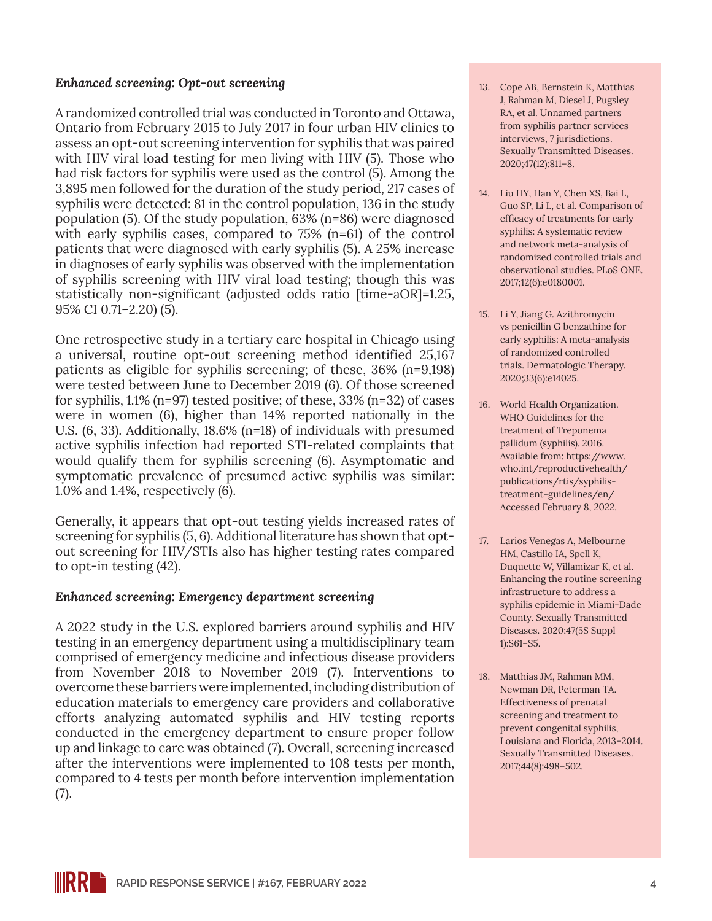#### *Enhanced screening: Opt-out screening*

A randomized controlled trial was conducted in Toronto and Ottawa, Ontario from February 2015 to July 2017 in four urban HIV clinics to assess an opt-out screening intervention for syphilis that was paired with HIV viral load testing for men living with HIV (5). Those who had risk factors for syphilis were used as the control (5). Among the 3,895 men followed for the duration of the study period, 217 cases of syphilis were detected: 81 in the control population, 136 in the study population (5). Of the study population, 63% (n=86) were diagnosed with early syphilis cases, compared to 75% (n=61) of the control patients that were diagnosed with early syphilis (5). A 25% increase in diagnoses of early syphilis was observed with the implementation of syphilis screening with HIV viral load testing; though this was statistically non-significant (adjusted odds ratio [time-aOR]=1.25, 95% CI 0.71–2.20) (5).

One retrospective study in a tertiary care hospital in Chicago using a universal, routine opt-out screening method identified 25,167 patients as eligible for syphilis screening; of these, 36% (n=9,198) were tested between June to December 2019 (6). Of those screened for syphilis, 1.1% (n=97) tested positive; of these, 33% (n=32) of cases were in women (6), higher than 14% reported nationally in the U.S. (6, 33). Additionally, 18.6% (n=18) of individuals with presumed active syphilis infection had reported STI-related complaints that would qualify them for syphilis screening (6). Asymptomatic and symptomatic prevalence of presumed active syphilis was similar: 1.0% and 1.4%, respectively (6).

Generally, it appears that opt-out testing yields increased rates of screening for syphilis (5, 6). Additional literature has shown that optout screening for HIV/STIs also has higher testing rates compared to opt-in testing (42).

#### *Enhanced screening: Emergency department screening*

A 2022 study in the U.S. explored barriers around syphilis and HIV testing in an emergency department using a multidisciplinary team comprised of emergency medicine and infectious disease providers from November 2018 to November 2019 (7). Interventions to overcome these barriers were implemented, including distribution of education materials to emergency care providers and collaborative efforts analyzing automated syphilis and HIV testing reports conducted in the emergency department to ensure proper follow up and linkage to care was obtained (7). Overall, screening increased after the interventions were implemented to 108 tests per month, compared to 4 tests per month before intervention implementation (7).

- 13. Cope AB, Bernstein K, Matthias J, Rahman M, Diesel J, Pugsley RA, et al. Unnamed partners from syphilis partner services interviews, 7 jurisdictions. Sexually Transmitted Diseases. 2020;47(12):811–8.
- 14. Liu HY, Han Y, Chen XS, Bai L, Guo SP, Li L, et al. Comparison of efficacy of treatments for early syphilis: A systematic review and network meta-analysis of randomized controlled trials and observational studies. PLoS ONE. 2017;12(6):e0180001.
- 15. Li Y, Jiang G. Azithromycin vs penicillin G benzathine for early syphilis: A meta-analysis of randomized controlled trials. Dermatologic Therapy. 2020;33(6):e14025.
- 16. World Health Organization. WHO Guidelines for the treatment of Treponema pallidum (syphilis). 2016. Available from: [https://www.](https://www.who.int/reproductivehealth/publications/rtis/syphilis-treatment-guidelines/en/) [who.int/reproductivehealth/](https://www.who.int/reproductivehealth/publications/rtis/syphilis-treatment-guidelines/en/) [publications/rtis/syphilis](https://www.who.int/reproductivehealth/publications/rtis/syphilis-treatment-guidelines/en/)[treatment-guidelines/en/](https://www.who.int/reproductivehealth/publications/rtis/syphilis-treatment-guidelines/en/) Accessed February 8, 2022.
- 17. Larios Venegas A, Melbourne HM, Castillo IA, Spell K, Duquette W, Villamizar K, et al. Enhancing the routine screening infrastructure to address a syphilis epidemic in Miami-Dade County. Sexually Transmitted Diseases. 2020;47(5S Suppl 1):S61–S5.
- 18. Matthias JM, Rahman MM, Newman DR, Peterman TA. Effectiveness of prenatal screening and treatment to prevent congenital syphilis, Louisiana and Florida, 2013–2014. Sexually Transmitted Diseases. 2017;44(8):498–502.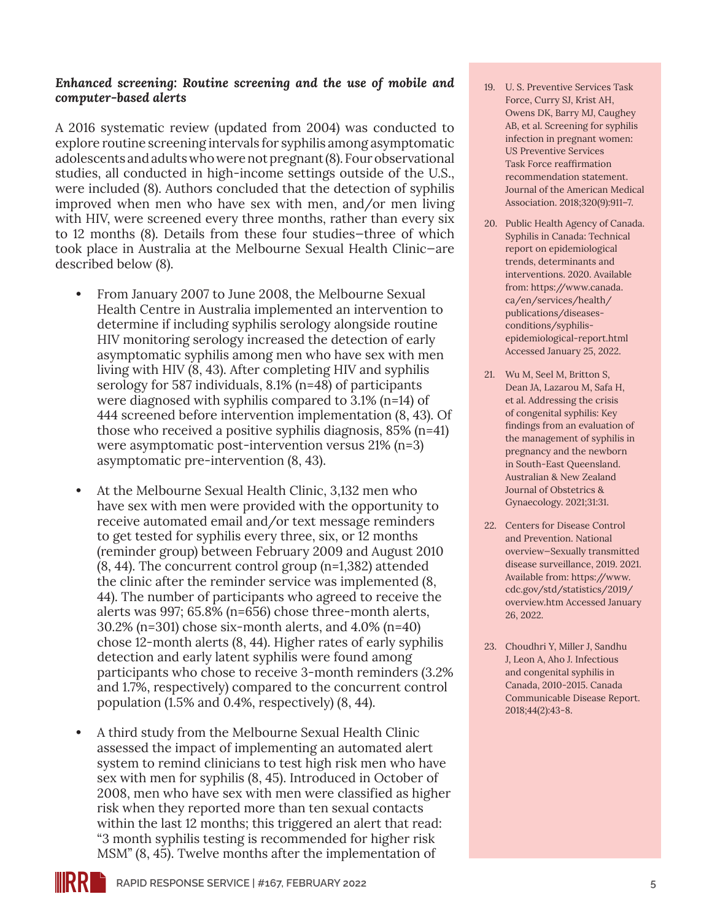#### *Enhanced screening: Routine screening and the use of mobile and computer-based alerts*

A 2016 systematic review (updated from 2004) was conducted to explore routine screening intervals for syphilis among asymptomatic adolescents and adults who were not pregnant (8). Four observational studies, all conducted in high-income settings outside of the U.S., were included (8). Authors concluded that the detection of syphilis improved when men who have sex with men, and/or men living with HIV, were screened every three months, rather than every six to 12 months (8). Details from these four studies—three of which took place in Australia at the Melbourne Sexual Health Clinic—are described below (8).

- **•** From January 2007 to June 2008, the Melbourne Sexual Health Centre in Australia implemented an intervention to determine if including syphilis serology alongside routine HIV monitoring serology increased the detection of early asymptomatic syphilis among men who have sex with men living with HIV (8, 43). After completing HIV and syphilis serology for 587 individuals, 8.1% (n=48) of participants were diagnosed with syphilis compared to 3.1% (n=14) of 444 screened before intervention implementation (8, 43). Of those who received a positive syphilis diagnosis, 85% (n=41) were asymptomatic post-intervention versus 21% (n=3) asymptomatic pre-intervention (8, 43).
- **•** At the Melbourne Sexual Health Clinic, 3,132 men who have sex with men were provided with the opportunity to receive automated email and/or text message reminders to get tested for syphilis every three, six, or 12 months (reminder group) between February 2009 and August 2010 (8, 44). The concurrent control group (n=1,382) attended the clinic after the reminder service was implemented (8, 44). The number of participants who agreed to receive the alerts was 997; 65.8% (n=656) chose three-month alerts, 30.2% (n=301) chose six-month alerts, and 4.0% (n=40) chose 12-month alerts (8, 44). Higher rates of early syphilis detection and early latent syphilis were found among participants who chose to receive 3-month reminders (3.2% and 1.7%, respectively) compared to the concurrent control population (1.5% and 0.4%, respectively) (8, 44).
- **•** A third study from the Melbourne Sexual Health Clinic assessed the impact of implementing an automated alert system to remind clinicians to test high risk men who have sex with men for syphilis (8, 45). Introduced in October of 2008, men who have sex with men were classified as higher risk when they reported more than ten sexual contacts within the last 12 months; this triggered an alert that read: "3 month syphilis testing is recommended for higher risk MSM" (8, 45). Twelve months after the implementation of
- 19. U. S. Preventive Services Task Force, Curry SJ, Krist AH, Owens DK, Barry MJ, Caughey AB, et al. Screening for syphilis infection in pregnant women: US Preventive Services Task Force reaffirmation recommendation statement. Journal of the American Medical Association. 2018;320(9):911–7.
- 20. Public Health Agency of Canada. Syphilis in Canada: Technical report on epidemiological trends, determinants and interventions. 2020. Available from: [https://www.canada.](https://www.canada.ca/en/services/health/publications/diseases-conditions/syphilis-epidemiological-report.html ) [ca/en/services/health/](https://www.canada.ca/en/services/health/publications/diseases-conditions/syphilis-epidemiological-report.html ) [publications/diseases](https://www.canada.ca/en/services/health/publications/diseases-conditions/syphilis-epidemiological-report.html )[conditions/syphilis](https://www.canada.ca/en/services/health/publications/diseases-conditions/syphilis-epidemiological-report.html )[epidemiological-report.html](https://www.canada.ca/en/services/health/publications/diseases-conditions/syphilis-epidemiological-report.html )  Accessed January 25, 2022.
- 21. Wu M, Seel M, Britton S, Dean JA, Lazarou M, Safa H, et al. Addressing the crisis of congenital syphilis: Key findings from an evaluation of the management of syphilis in pregnancy and the newborn in South-East Queensland. Australian & New Zealand Journal of Obstetrics & Gynaecology. 2021;31:31.
- 22. Centers for Disease Control and Prevention. National overview—Sexually transmitted disease surveillance, 2019. 2021. Available from: [https://www.](https://www.cdc.gov/std/statistics/2019/overview.htm) [cdc.gov/std/statistics/2019/](https://www.cdc.gov/std/statistics/2019/overview.htm) [overview.htm](https://www.cdc.gov/std/statistics/2019/overview.htm) Accessed January 26, 2022.
- 23. Choudhri Y, Miller J, Sandhu J, Leon A, Aho J. Infectious and congenital syphilis in Canada, 2010-2015. Canada Communicable Disease Report. 2018;44(2):43-8.

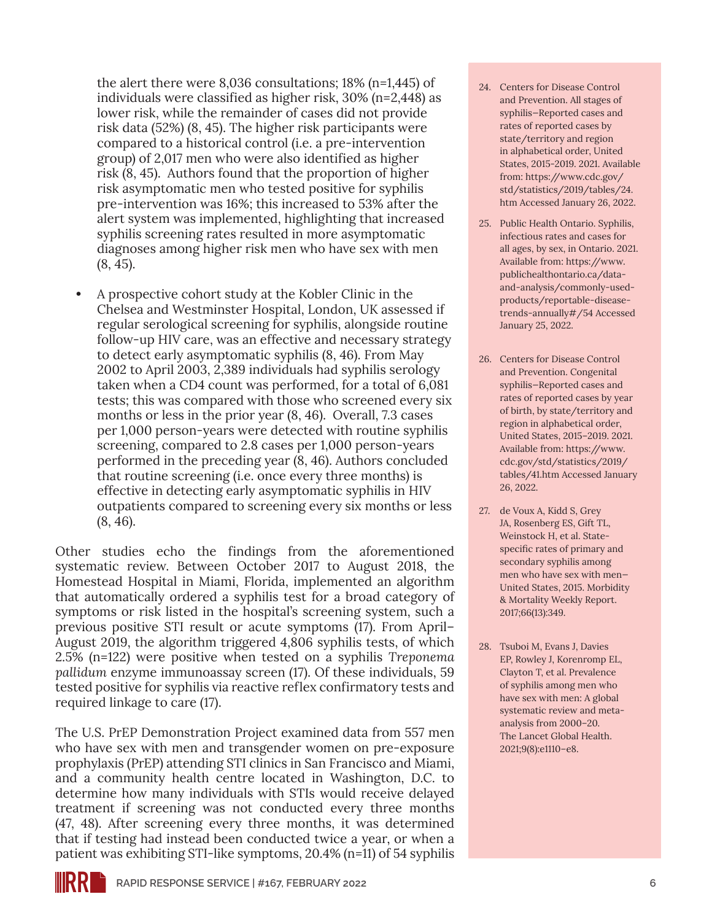the alert there were 8,036 consultations; 18% (n=1,445) of individuals were classified as higher risk, 30% (n=2,448) as lower risk, while the remainder of cases did not provide risk data (52%) (8, 45). The higher risk participants were compared to a historical control (i.e. a pre-intervention group) of 2,017 men who were also identified as higher risk (8, 45). Authors found that the proportion of higher risk asymptomatic men who tested positive for syphilis pre-intervention was 16%; this increased to 53% after the alert system was implemented, highlighting that increased syphilis screening rates resulted in more asymptomatic diagnoses among higher risk men who have sex with men (8, 45).

**•** A prospective cohort study at the Kobler Clinic in the Chelsea and Westminster Hospital, London, UK assessed if regular serological screening for syphilis, alongside routine follow-up HIV care, was an effective and necessary strategy to detect early asymptomatic syphilis (8, 46). From May 2002 to April 2003, 2,389 individuals had syphilis serology taken when a CD4 count was performed, for a total of 6,081 tests; this was compared with those who screened every six months or less in the prior year (8, 46). Overall, 7.3 cases per 1,000 person-years were detected with routine syphilis screening, compared to 2.8 cases per 1,000 person-years performed in the preceding year (8, 46). Authors concluded that routine screening (i.e. once every three months) is effective in detecting early asymptomatic syphilis in HIV outpatients compared to screening every six months or less (8, 46).

Other studies echo the findings from the aforementioned systematic review. Between October 2017 to August 2018, the Homestead Hospital in Miami, Florida, implemented an algorithm that automatically ordered a syphilis test for a broad category of symptoms or risk listed in the hospital's screening system, such a previous positive STI result or acute symptoms (17). From April– August 2019, the algorithm triggered 4,806 syphilis tests, of which 2.5% (n=122) were positive when tested on a syphilis *Treponema pallidum* enzyme immunoassay screen (17). Of these individuals, 59 tested positive for syphilis via reactive reflex confirmatory tests and required linkage to care (17).

The U.S. PrEP Demonstration Project examined data from 557 men who have sex with men and transgender women on pre-exposure prophylaxis (PrEP) attending STI clinics in San Francisco and Miami, and a community health centre located in Washington, D.C. to determine how many individuals with STIs would receive delayed treatment if screening was not conducted every three months (47, 48). After screening every three months, it was determined that if testing had instead been conducted twice a year, or when a patient was exhibiting STI-like symptoms, 20.4% (n=11) of 54 syphilis

- 24. Centers for Disease Control and Prevention. All stages of syphilis—Reported cases and rates of reported cases by state/territory and region in alphabetical order, United States, 2015-2019. 2021. Available from: [https://www.cdc.gov/](https://www.cdc.gov/std/statistics/2019/tables/24.htm) [std/statistics/2019/tables/24.](https://www.cdc.gov/std/statistics/2019/tables/24.htm) [htm](https://www.cdc.gov/std/statistics/2019/tables/24.htm) Accessed January 26, 2022.
- 25. Public Health Ontario. Syphilis, infectious rates and cases for all ages, by sex, in Ontario. 2021. Available from: [https://www.](https://www.publichealthontario.ca/data-and-analysis/commonly-used-products/reportable-disease-trends-annually#/54) [publichealthontario.ca/data](https://www.publichealthontario.ca/data-and-analysis/commonly-used-products/reportable-disease-trends-annually#/54)[and-analysis/commonly-used](https://www.publichealthontario.ca/data-and-analysis/commonly-used-products/reportable-disease-trends-annually#/54)[products/reportable-disease](https://www.publichealthontario.ca/data-and-analysis/commonly-used-products/reportable-disease-trends-annually#/54)[trends-annually#/54](https://www.publichealthontario.ca/data-and-analysis/commonly-used-products/reportable-disease-trends-annually#/54) Accessed January 25, 2022.
- 26. Centers for Disease Control and Prevention. Congenital syphilis—Reported cases and rates of reported cases by year of birth, by state/territory and region in alphabetical order, United States, 2015–2019. 2021. Available from: [https://www.](https://www.cdc.gov/std/statistics/2019/tables/41.htm) [cdc.gov/std/statistics/2019/](https://www.cdc.gov/std/statistics/2019/tables/41.htm) [tables/41.htm](https://www.cdc.gov/std/statistics/2019/tables/41.htm) Accessed January 26, 2022.
- 27. de Voux A, Kidd S, Grey JA, Rosenberg ES, Gift TL, Weinstock H, et al. Statespecific rates of primary and secondary syphilis among men who have sex with men— United States, 2015. Morbidity & Mortality Weekly Report. 2017;66(13):349.
- 28. Tsuboi M, Evans J, Davies EP, Rowley J, Korenromp EL, Clayton T, et al. Prevalence of syphilis among men who have sex with men: A global systematic review and metaanalysis from 2000–20. The Lancet Global Health. 2021;9(8):e1110–e8.

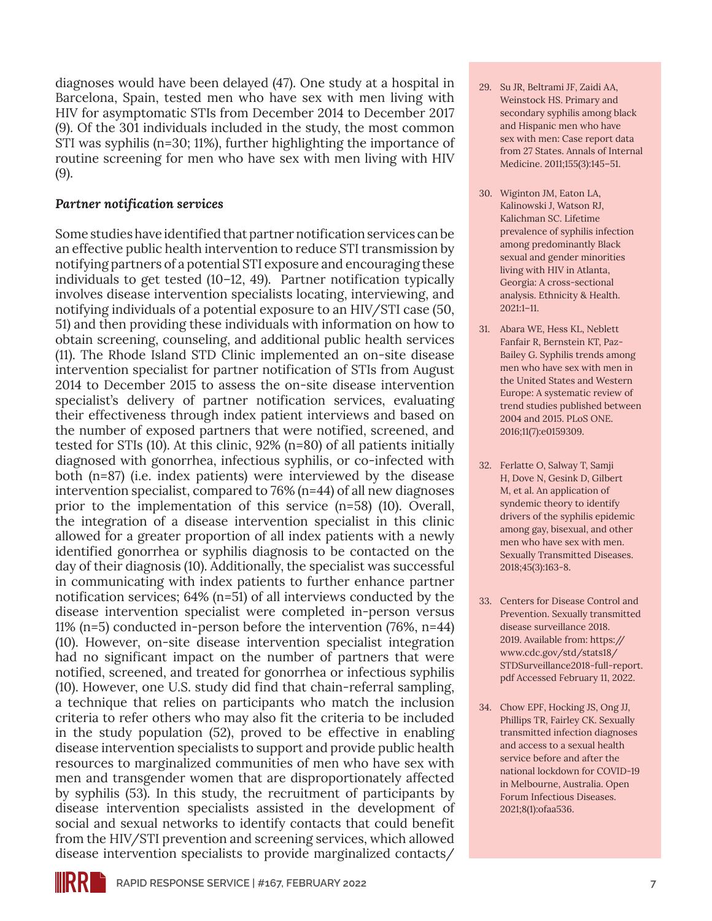diagnoses would have been delayed (47). One study at a hospital in Barcelona, Spain, tested men who have sex with men living with HIV for asymptomatic STIs from December 2014 to December 2017 (9). Of the 301 individuals included in the study, the most common STI was syphilis (n=30; 11%), further highlighting the importance of routine screening for men who have sex with men living with HIV (9).

#### *Partner notification services*

Some studies have identified that partner notification services can be an effective public health intervention to reduce STI transmission by notifying partners of a potential STI exposure and encouraging these individuals to get tested (10–12, 49). Partner notification typically involves disease intervention specialists locating, interviewing, and notifying individuals of a potential exposure to an HIV/STI case (50, 51) and then providing these individuals with information on how to obtain screening, counseling, and additional public health services (11). The Rhode Island STD Clinic implemented an on-site disease intervention specialist for partner notification of STIs from August 2014 to December 2015 to assess the on-site disease intervention specialist's delivery of partner notification services, evaluating their effectiveness through index patient interviews and based on the number of exposed partners that were notified, screened, and tested for STIs (10). At this clinic, 92% (n=80) of all patients initially diagnosed with gonorrhea, infectious syphilis, or co-infected with both (n=87) (i.e. index patients) were interviewed by the disease intervention specialist, compared to 76% (n=44) of all new diagnoses prior to the implementation of this service (n=58) (10). Overall, the integration of a disease intervention specialist in this clinic allowed for a greater proportion of all index patients with a newly identified gonorrhea or syphilis diagnosis to be contacted on the day of their diagnosis (10). Additionally, the specialist was successful in communicating with index patients to further enhance partner notification services; 64% (n=51) of all interviews conducted by the disease intervention specialist were completed in-person versus 11% (n=5) conducted in-person before the intervention (76%, n=44) (10). However, on-site disease intervention specialist integration had no significant impact on the number of partners that were notified, screened, and treated for gonorrhea or infectious syphilis (10). However, one U.S. study did find that chain-referral sampling, a technique that relies on participants who match the inclusion criteria to refer others who may also fit the criteria to be included in the study population (52), proved to be effective in enabling disease intervention specialists to support and provide public health resources to marginalized communities of men who have sex with men and transgender women that are disproportionately affected by syphilis (53). In this study, the recruitment of participants by disease intervention specialists assisted in the development of social and sexual networks to identify contacts that could benefit from the HIV/STI prevention and screening services, which allowed disease intervention specialists to provide marginalized contacts/

- 29. Su JR, Beltrami JF, Zaidi AA, Weinstock HS. Primary and secondary syphilis among black and Hispanic men who have sex with men: Case report data from 27 States. Annals of Internal Medicine. 2011;155(3):145–51.
- 30. Wiginton JM, Eaton LA, Kalinowski J, Watson RJ, Kalichman SC. Lifetime prevalence of syphilis infection among predominantly Black sexual and gender minorities living with HIV in Atlanta, Georgia: A cross-sectional analysis. Ethnicity & Health. 2021:1–11.
- 31. Abara WE, Hess KL, Neblett Fanfair R, Bernstein KT, Paz-Bailey G. Syphilis trends among men who have sex with men in the United States and Western Europe: A systematic review of trend studies published between 2004 and 2015. PLoS ONE. 2016;11(7):e0159309.
- 32. Ferlatte O, Salway T, Samji H, Dove N, Gesink D, Gilbert M, et al. An application of syndemic theory to identify drivers of the syphilis epidemic among gay, bisexual, and other men who have sex with men. Sexually Transmitted Diseases. 2018;45(3):163-8.
- 33. Centers for Disease Control and Prevention. Sexually transmitted disease surveillance 2018. 2019. Available from: [https://](https://www.cdc.gov/std/stats18/STDSurveillance2018-full-report.pdf) [www.cdc.gov/std/stats18/](https://www.cdc.gov/std/stats18/STDSurveillance2018-full-report.pdf) [STDSurveillance2018-full-report.](https://www.cdc.gov/std/stats18/STDSurveillance2018-full-report.pdf) [pdf](https://www.cdc.gov/std/stats18/STDSurveillance2018-full-report.pdf) Accessed February 11, 2022.
- 34. Chow EPF, Hocking JS, Ong JJ, Phillips TR, Fairley CK. Sexually transmitted infection diagnoses and access to a sexual health service before and after the national lockdown for COVID-19 in Melbourne, Australia. Open Forum Infectious Diseases. 2021;8(1):ofaa536.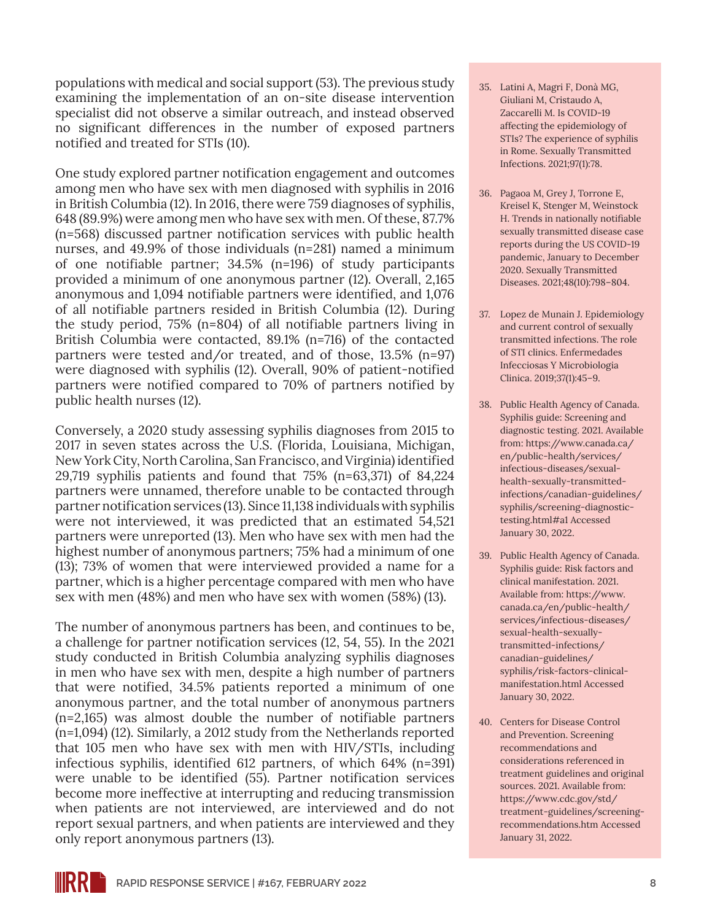populations with medical and social support (53). The previous study examining the implementation of an on-site disease intervention specialist did not observe a similar outreach, and instead observed no significant differences in the number of exposed partners notified and treated for STIs (10).

One study explored partner notification engagement and outcomes among men who have sex with men diagnosed with syphilis in 2016 in British Columbia (12). In 2016, there were 759 diagnoses of syphilis, 648 (89.9%) were among men who have sex with men. Of these, 87.7% (n=568) discussed partner notification services with public health nurses, and 49.9% of those individuals (n=281) named a minimum of one notifiable partner; 34.5% (n=196) of study participants provided a minimum of one anonymous partner (12). Overall, 2,165 anonymous and 1,094 notifiable partners were identified, and 1,076 of all notifiable partners resided in British Columbia (12). During the study period, 75% (n=804) of all notifiable partners living in British Columbia were contacted, 89.1% (n=716) of the contacted partners were tested and/or treated, and of those, 13.5% (n=97) were diagnosed with syphilis (12). Overall, 90% of patient-notified partners were notified compared to 70% of partners notified by public health nurses (12).

Conversely, a 2020 study assessing syphilis diagnoses from 2015 to 2017 in seven states across the U.S. (Florida, Louisiana, Michigan, New York City, North Carolina, San Francisco, and Virginia) identified 29,719 syphilis patients and found that 75% (n=63,371) of 84,224 partners were unnamed, therefore unable to be contacted through partner notification services (13). Since 11,138 individuals with syphilis were not interviewed, it was predicted that an estimated 54,521 partners were unreported (13). Men who have sex with men had the highest number of anonymous partners; 75% had a minimum of one (13); 73% of women that were interviewed provided a name for a partner, which is a higher percentage compared with men who have sex with men (48%) and men who have sex with women (58%) (13).

The number of anonymous partners has been, and continues to be, a challenge for partner notification services (12, 54, 55). In the 2021 study conducted in British Columbia analyzing syphilis diagnoses in men who have sex with men, despite a high number of partners that were notified, 34.5% patients reported a minimum of one anonymous partner, and the total number of anonymous partners (n=2,165) was almost double the number of notifiable partners (n=1,094) (12). Similarly, a 2012 study from the Netherlands reported that 105 men who have sex with men with HIV/STIs, including infectious syphilis, identified 612 partners, of which 64% (n=391) were unable to be identified (55). Partner notification services become more ineffective at interrupting and reducing transmission when patients are not interviewed, are interviewed and do not report sexual partners, and when patients are interviewed and they only report anonymous partners (13).

- 35. Latini A, Magri F, Donà MG, Giuliani M, Cristaudo A, Zaccarelli M. Is COVID-19 affecting the epidemiology of STIs? The experience of syphilis in Rome. Sexually Transmitted Infections. 2021;97(1):78.
- 36. Pagaoa M, Grey J, Torrone E, Kreisel K, Stenger M, Weinstock H. Trends in nationally notifiable sexually transmitted disease case reports during the US COVID-19 pandemic, January to December 2020. Sexually Transmitted Diseases. 2021;48(10):798–804.
- 37. Lopez de Munain J. Epidemiology and current control of sexually transmitted infections. The role of STI clinics. Enfermedades Infecciosas Y Microbiologia Clinica. 2019;37(1):45–9.
- 38. Public Health Agency of Canada. Syphilis guide: Screening and diagnostic testing. 2021. Available from: [https://www.canada.ca/](https://www.canada.ca/en/public-health/services/infectious-diseases/sexual-health-sexually-transmitted-infections/canadian-guidelines/syphilis/screening-diagnostic-testing.html#a1) [en/public-health/services/](https://www.canada.ca/en/public-health/services/infectious-diseases/sexual-health-sexually-transmitted-infections/canadian-guidelines/syphilis/screening-diagnostic-testing.html#a1) [infectious-diseases/sexual](https://www.canada.ca/en/public-health/services/infectious-diseases/sexual-health-sexually-transmitted-infections/canadian-guidelines/syphilis/screening-diagnostic-testing.html#a1)[health-sexually-transmitted](https://www.canada.ca/en/public-health/services/infectious-diseases/sexual-health-sexually-transmitted-infections/canadian-guidelines/syphilis/screening-diagnostic-testing.html#a1)[infections/canadian-guidelines/](https://www.canada.ca/en/public-health/services/infectious-diseases/sexual-health-sexually-transmitted-infections/canadian-guidelines/syphilis/screening-diagnostic-testing.html#a1) [syphilis/screening-diagnostic](https://www.canada.ca/en/public-health/services/infectious-diseases/sexual-health-sexually-transmitted-infections/canadian-guidelines/syphilis/screening-diagnostic-testing.html#a1)[testing.html#a1](https://www.canada.ca/en/public-health/services/infectious-diseases/sexual-health-sexually-transmitted-infections/canadian-guidelines/syphilis/screening-diagnostic-testing.html#a1) Accessed January 30, 2022.
- 39. Public Health Agency of Canada. Syphilis guide: Risk factors and clinical manifestation. 2021. Available from: [https://www.](https://www.canada.ca/en/public-health/services/infectious-diseases/sexual-health-sexually-transmitted-infections/canadian-guidelines/syphilis/risk-factors-clinical-manifestation.html) [canada.ca/en/public-health/](https://www.canada.ca/en/public-health/services/infectious-diseases/sexual-health-sexually-transmitted-infections/canadian-guidelines/syphilis/risk-factors-clinical-manifestation.html) [services/infectious-diseases/](https://www.canada.ca/en/public-health/services/infectious-diseases/sexual-health-sexually-transmitted-infections/canadian-guidelines/syphilis/risk-factors-clinical-manifestation.html) [sexual-health-sexually](https://www.canada.ca/en/public-health/services/infectious-diseases/sexual-health-sexually-transmitted-infections/canadian-guidelines/syphilis/risk-factors-clinical-manifestation.html)[transmitted-infections/](https://www.canada.ca/en/public-health/services/infectious-diseases/sexual-health-sexually-transmitted-infections/canadian-guidelines/syphilis/risk-factors-clinical-manifestation.html) [canadian-guidelines/](https://www.canada.ca/en/public-health/services/infectious-diseases/sexual-health-sexually-transmitted-infections/canadian-guidelines/syphilis/risk-factors-clinical-manifestation.html) [syphilis/risk-factors-clinical](https://www.canada.ca/en/public-health/services/infectious-diseases/sexual-health-sexually-transmitted-infections/canadian-guidelines/syphilis/risk-factors-clinical-manifestation.html)[manifestation.html](https://www.canada.ca/en/public-health/services/infectious-diseases/sexual-health-sexually-transmitted-infections/canadian-guidelines/syphilis/risk-factors-clinical-manifestation.html) Accessed January 30, 2022.
- 40. Centers for Disease Control and Prevention. Screening recommendations and considerations referenced in treatment guidelines and original sources. 2021. Available from: [https://www.cdc.gov/std/](https://www.cdc.gov/std/treatment-guidelines/screening-recommendations.htm) [treatment-guidelines/screening](https://www.cdc.gov/std/treatment-guidelines/screening-recommendations.htm)[recommendations.htm](https://www.cdc.gov/std/treatment-guidelines/screening-recommendations.htm) Accessed January 31, 2022.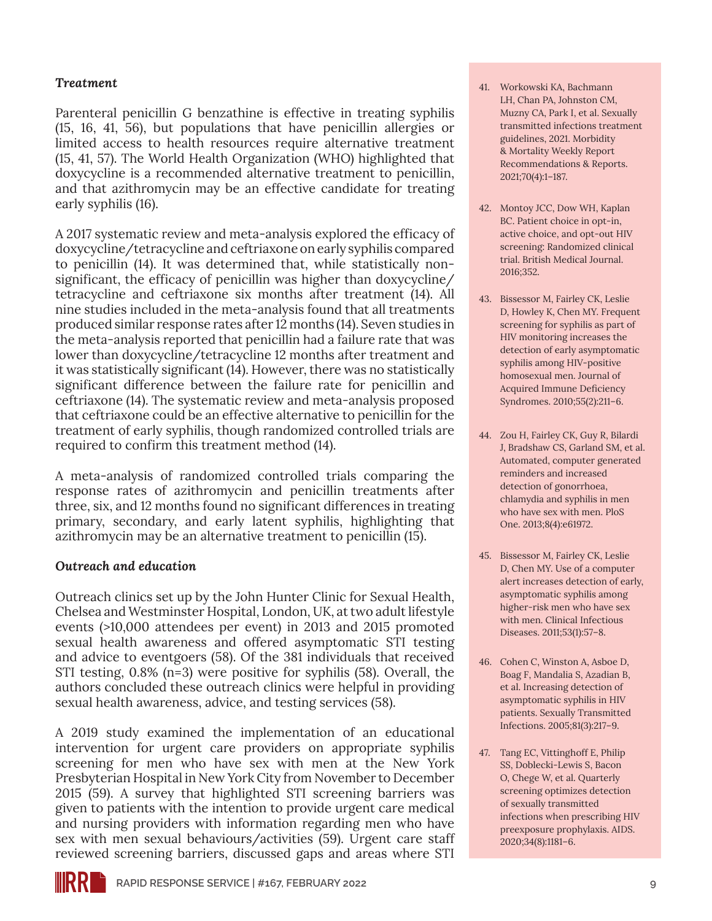#### *Treatment*

Parenteral penicillin G benzathine is effective in treating syphilis (15, 16, 41, 56), but populations that have penicillin allergies or limited access to health resources require alternative treatment (15, 41, 57). The World Health Organization (WHO) highlighted that doxycycline is a recommended alternative treatment to penicillin, and that azithromycin may be an effective candidate for treating early syphilis (16).

A 2017 systematic review and meta-analysis explored the efficacy of doxycycline/tetracycline and ceftriaxone on early syphilis compared to penicillin (14). It was determined that, while statistically nonsignificant, the efficacy of penicillin was higher than doxycycline/ tetracycline and ceftriaxone six months after treatment (14). All nine studies included in the meta-analysis found that all treatments produced similar response rates after 12 months (14). Seven studies in the meta-analysis reported that penicillin had a failure rate that was lower than doxycycline/tetracycline 12 months after treatment and it was statistically significant (14). However, there was no statistically significant difference between the failure rate for penicillin and ceftriaxone (14). The systematic review and meta-analysis proposed that ceftriaxone could be an effective alternative to penicillin for the treatment of early syphilis, though randomized controlled trials are required to confirm this treatment method (14).

A meta-analysis of randomized controlled trials comparing the response rates of azithromycin and penicillin treatments after three, six, and 12 months found no significant differences in treating primary, secondary, and early latent syphilis, highlighting that azithromycin may be an alternative treatment to penicillin (15).

#### *Outreach and education*

Outreach clinics set up by the John Hunter Clinic for Sexual Health, Chelsea and Westminster Hospital, London, UK, at two adult lifestyle events (>10,000 attendees per event) in 2013 and 2015 promoted sexual health awareness and offered asymptomatic STI testing and advice to eventgoers (58). Of the 381 individuals that received STI testing, 0.8% (n=3) were positive for syphilis (58). Overall, the authors concluded these outreach clinics were helpful in providing sexual health awareness, advice, and testing services (58).

A 2019 study examined the implementation of an educational intervention for urgent care providers on appropriate syphilis screening for men who have sex with men at the New York Presbyterian Hospital in New York City from November to December 2015 (59). A survey that highlighted STI screening barriers was given to patients with the intention to provide urgent care medical and nursing providers with information regarding men who have sex with men sexual behaviours/activities (59). Urgent care staff reviewed screening barriers, discussed gaps and areas where STI

- 41. Workowski KA, Bachmann LH, Chan PA, Johnston CM, Muzny CA, Park I, et al. Sexually transmitted infections treatment guidelines, 2021. Morbidity & Mortality Weekly Report Recommendations & Reports. 2021;70(4):1–187.
- 42. Montoy JCC, Dow WH, Kaplan BC. Patient choice in opt-in, active choice, and opt-out HIV screening: Randomized clinical trial. British Medical Journal. 2016;352.
- 43. Bissessor M, Fairley CK, Leslie D, Howley K, Chen MY. Frequent screening for syphilis as part of HIV monitoring increases the detection of early asymptomatic syphilis among HIV-positive homosexual men. Journal of Acquired Immune Deficiency Syndromes. 2010;55(2):211–6.
- 44. Zou H, Fairley CK, Guy R, Bilardi J, Bradshaw CS, Garland SM, et al. Automated, computer generated reminders and increased detection of gonorrhoea, chlamydia and syphilis in men who have sex with men. PloS One. 2013;8(4):e61972.
- 45. Bissessor M, Fairley CK, Leslie D, Chen MY. Use of a computer alert increases detection of early, asymptomatic syphilis among higher-risk men who have sex with men. Clinical Infectious Diseases. 2011;53(1):57–8.
- 46. Cohen C, Winston A, Asboe D, Boag F, Mandalia S, Azadian B, et al. Increasing detection of asymptomatic syphilis in HIV patients. Sexually Transmitted Infections. 2005;81(3):217–9.
- 47. Tang EC, Vittinghoff E, Philip SS, Doblecki-Lewis S, Bacon O, Chege W, et al. Quarterly screening optimizes detection of sexually transmitted infections when prescribing HIV preexposure prophylaxis. AIDS. 2020;34(8):1181–6.

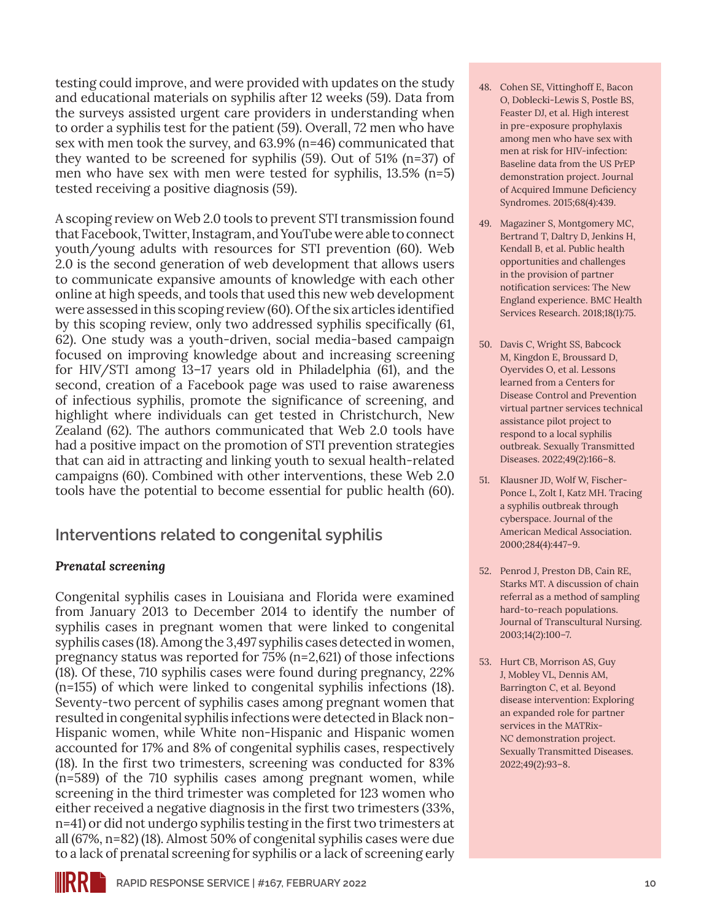testing could improve, and were provided with updates on the study and educational materials on syphilis after 12 weeks (59). Data from the surveys assisted urgent care providers in understanding when to order a syphilis test for the patient (59). Overall, 72 men who have sex with men took the survey, and 63.9% (n=46) communicated that they wanted to be screened for syphilis (59). Out of 51% (n=37) of men who have sex with men were tested for syphilis, 13.5% (n=5) tested receiving a positive diagnosis (59).

A scoping review on Web 2.0 tools to prevent STI transmission found that Facebook, Twitter, Instagram, and YouTube were able to connect youth/young adults with resources for STI prevention (60). Web 2.0 is the second generation of web development that allows users to communicate expansive amounts of knowledge with each other online at high speeds, and tools that used this new web development were assessed in this scoping review (60). Of the six articles identified by this scoping review, only two addressed syphilis specifically (61, 62). One study was a youth-driven, social media-based campaign focused on improving knowledge about and increasing screening for HIV/STI among 13–17 years old in Philadelphia (61), and the second, creation of a Facebook page was used to raise awareness of infectious syphilis, promote the significance of screening, and highlight where individuals can get tested in Christchurch, New Zealand (62). The authors communicated that Web 2.0 tools have had a positive impact on the promotion of STI prevention strategies that can aid in attracting and linking youth to sexual health-related campaigns (60). Combined with other interventions, these Web 2.0 tools have the potential to become essential for public health (60).

### **Interventions related to congenital syphilis**

#### *Prenatal screening*

Congenital syphilis cases in Louisiana and Florida were examined from January 2013 to December 2014 to identify the number of syphilis cases in pregnant women that were linked to congenital syphilis cases (18). Among the 3,497 syphilis cases detected in women, pregnancy status was reported for 75% (n=2,621) of those infections (18). Of these, 710 syphilis cases were found during pregnancy, 22% (n=155) of which were linked to congenital syphilis infections (18). Seventy-two percent of syphilis cases among pregnant women that resulted in congenital syphilis infections were detected in Black non-Hispanic women, while White non-Hispanic and Hispanic women accounted for 17% and 8% of congenital syphilis cases, respectively (18). In the first two trimesters, screening was conducted for 83% (n=589) of the 710 syphilis cases among pregnant women, while screening in the third trimester was completed for 123 women who either received a negative diagnosis in the first two trimesters (33%, n=41) or did not undergo syphilis testing in the first two trimesters at all (67%, n=82) (18). Almost 50% of congenital syphilis cases were due to a lack of prenatal screening for syphilis or a lack of screening early

- 48. Cohen SE, Vittinghoff E, Bacon O, Doblecki-Lewis S, Postle BS, Feaster DJ, et al. High interest in pre-exposure prophylaxis among men who have sex with men at risk for HIV-infection: Baseline data from the US PrEP demonstration project. Journal of Acquired Immune Deficiency Syndromes. 2015;68(4):439.
- 49. Magaziner S, Montgomery MC, Bertrand T, Daltry D, Jenkins H, Kendall B, et al. Public health opportunities and challenges in the provision of partner notification services: The New England experience. BMC Health Services Research. 2018;18(1):75.
- 50. Davis C, Wright SS, Babcock M, Kingdon E, Broussard D, Oyervides O, et al. Lessons learned from a Centers for Disease Control and Prevention virtual partner services technical assistance pilot project to respond to a local syphilis outbreak. Sexually Transmitted Diseases. 2022;49(2):166–8.
- 51. Klausner JD, Wolf W, Fischer-Ponce L, Zolt I, Katz MH. Tracing a syphilis outbreak through cyberspace. Journal of the American Medical Association. 2000;284(4):447–9.
- 52. Penrod J, Preston DB, Cain RE, Starks MT. A discussion of chain referral as a method of sampling hard-to-reach populations. Journal of Transcultural Nursing. 2003;14(2):100–7.
- 53. Hurt CB, Morrison AS, Guy J, Mobley VL, Dennis AM, Barrington C, et al. Beyond disease intervention: Exploring an expanded role for partner services in the MATRix-NC demonstration project. Sexually Transmitted Diseases. 2022;49(2):93–8.

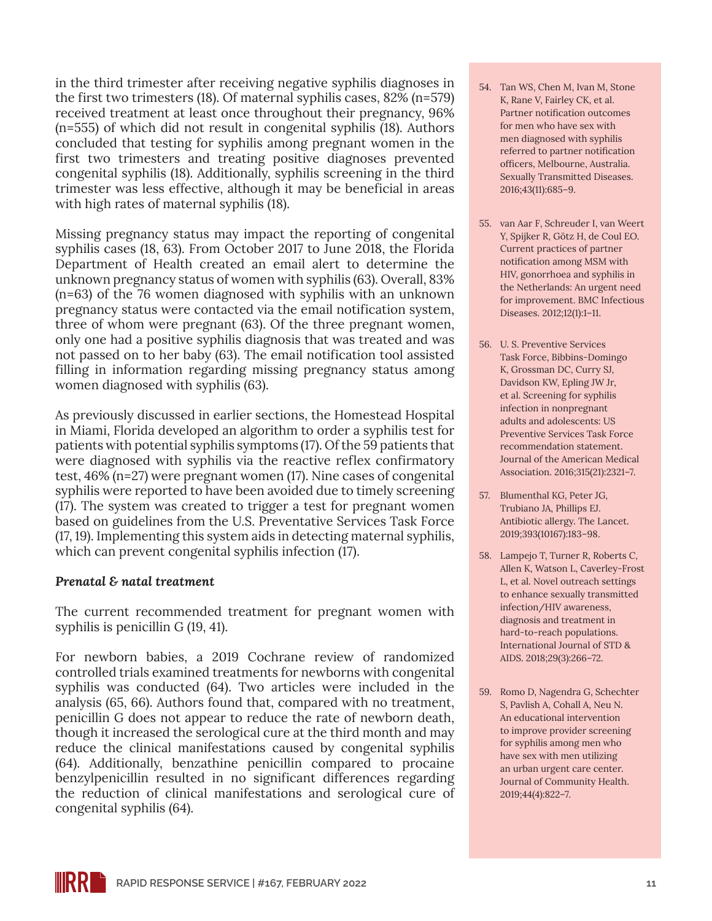in the third trimester after receiving negative syphilis diagnoses in the first two trimesters (18). Of maternal syphilis cases, 82% (n=579) received treatment at least once throughout their pregnancy, 96% (n=555) of which did not result in congenital syphilis (18). Authors concluded that testing for syphilis among pregnant women in the first two trimesters and treating positive diagnoses prevented congenital syphilis (18). Additionally, syphilis screening in the third trimester was less effective, although it may be beneficial in areas with high rates of maternal syphilis (18).

Missing pregnancy status may impact the reporting of congenital syphilis cases (18, 63). From October 2017 to June 2018, the Florida Department of Health created an email alert to determine the unknown pregnancy status of women with syphilis (63). Overall, 83% (n=63) of the 76 women diagnosed with syphilis with an unknown pregnancy status were contacted via the email notification system, three of whom were pregnant (63). Of the three pregnant women, only one had a positive syphilis diagnosis that was treated and was not passed on to her baby (63). The email notification tool assisted filling in information regarding missing pregnancy status among women diagnosed with syphilis (63).

As previously discussed in earlier sections, the Homestead Hospital in Miami, Florida developed an algorithm to order a syphilis test for patients with potential syphilis symptoms (17). Of the 59 patients that were diagnosed with syphilis via the reactive reflex confirmatory test, 46% (n=27) were pregnant women (17). Nine cases of congenital syphilis were reported to have been avoided due to timely screening (17). The system was created to trigger a test for pregnant women based on guidelines from the U.S. Preventative Services Task Force (17, 19). Implementing this system aids in detecting maternal syphilis, which can prevent congenital syphilis infection (17).

#### *Prenatal & natal treatment*

The current recommended treatment for pregnant women with syphilis is penicillin G (19, 41).

For newborn babies, a 2019 Cochrane review of randomized controlled trials examined treatments for newborns with congenital syphilis was conducted (64). Two articles were included in the analysis (65, 66). Authors found that, compared with no treatment, penicillin G does not appear to reduce the rate of newborn death, though it increased the serological cure at the third month and may reduce the clinical manifestations caused by congenital syphilis (64). Additionally, benzathine penicillin compared to procaine benzylpenicillin resulted in no significant differences regarding the reduction of clinical manifestations and serological cure of congenital syphilis (64).

- 54. Tan WS, Chen M, Ivan M, Stone K, Rane V, Fairley CK, et al. Partner notification outcomes for men who have sex with men diagnosed with syphilis referred to partner notification officers, Melbourne, Australia. Sexually Transmitted Diseases. 2016;43(11):685–9.
- 55. van Aar F, Schreuder I, van Weert Y, Spijker R, Götz H, de Coul EO. Current practices of partner notification among MSM with HIV, gonorrhoea and syphilis in the Netherlands: An urgent need for improvement. BMC Infectious Diseases. 2012;12(1):1–11.
- 56. U. S. Preventive Services Task Force, Bibbins-Domingo K, Grossman DC, Curry SJ, Davidson KW, Epling JW Jr, et al. Screening for syphilis infection in nonpregnant adults and adolescents: US Preventive Services Task Force recommendation statement. Journal of the American Medical Association. 2016;315(21):2321–7.
- 57. Blumenthal KG, Peter JG, Trubiano JA, Phillips EJ. Antibiotic allergy. The Lancet. 2019;393(10167):183–98.
- 58. Lampejo T, Turner R, Roberts C, Allen K, Watson L, Caverley-Frost L, et al. Novel outreach settings to enhance sexually transmitted infection/HIV awareness, diagnosis and treatment in hard-to-reach populations. International Journal of STD & AIDS. 2018;29(3):266–72.
- 59. Romo D, Nagendra G, Schechter S, Pavlish A, Cohall A, Neu N. An educational intervention to improve provider screening for syphilis among men who have sex with men utilizing an urban urgent care center. Journal of Community Health. 2019;44(4):822–7.